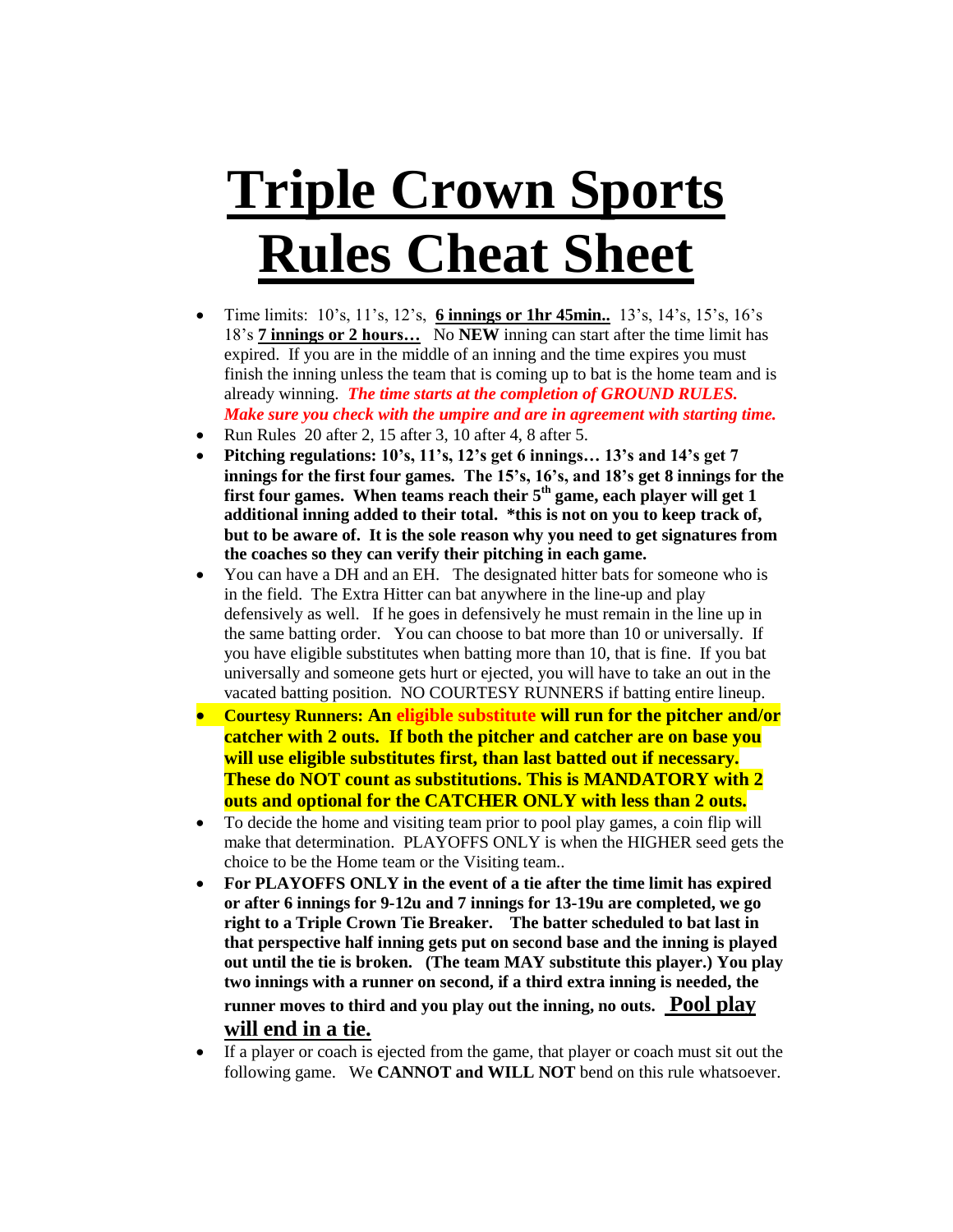## **Triple Crown Sports Rules Cheat Sheet**

- Time limits:  $10's$ ,  $11's$ ,  $12's$ , **6 innings or 1hr 45min..**  $13's$ ,  $14's$ ,  $15's$ ,  $16's$ 18's **7 innings or 2 hours…** No **NEW** inning can start after the time limit has expired. If you are in the middle of an inning and the time expires you must finish the inning unless the team that is coming up to bat is the home team and is already winning. *The time starts at the completion of GROUND RULES. Make sure you check with the umpire and are in agreement with starting time.*
- Run Rules 20 after 2, 15 after 3, 10 after 4, 8 after 5.
- **Pitching regulations: 10's, 11's, 12's get 6 innings… 13's and 14's get 7 innings for the first four games. The 15's, 16's, and 18's get 8 innings for the first four games. When teams reach their 5th game, each player will get 1 additional inning added to their total. \*this is not on you to keep track of, but to be aware of. It is the sole reason why you need to get signatures from the coaches so they can verify their pitching in each game.**
- You can have a DH and an EH. The designated hitter bats for someone who is in the field. The Extra Hitter can bat anywhere in the line-up and play defensively as well. If he goes in defensively he must remain in the line up in the same batting order. You can choose to bat more than 10 or universally. If you have eligible substitutes when batting more than 10, that is fine. If you bat universally and someone gets hurt or ejected, you will have to take an out in the vacated batting position. NO COURTESY RUNNERS if batting entire lineup.
- **Courtesy Runners: An eligible substitute will run for the pitcher and/or catcher with 2 outs. If both the pitcher and catcher are on base you will use eligible substitutes first, than last batted out if necessary. These do NOT count as substitutions. This is MANDATORY with 2 outs and optional for the CATCHER ONLY with less than 2 outs.**
- To decide the home and visiting team prior to pool play games, a coin flip will make that determination. PLAYOFFS ONLY is when the HIGHER seed gets the choice to be the Home team or the Visiting team..
- **For PLAYOFFS ONLY in the event of a tie after the time limit has expired or after 6 innings for 9-12u and 7 innings for 13-19u are completed, we go right to a Triple Crown Tie Breaker. The batter scheduled to bat last in that perspective half inning gets put on second base and the inning is played out until the tie is broken. (The team MAY substitute this player.) You play two innings with a runner on second, if a third extra inning is needed, the runner moves to third and you play out the inning, no outs. Pool play will end in a tie.**
- If a player or coach is ejected from the game, that player or coach must sit out the following game. We **CANNOT and WILL NOT** bend on this rule whatsoever.